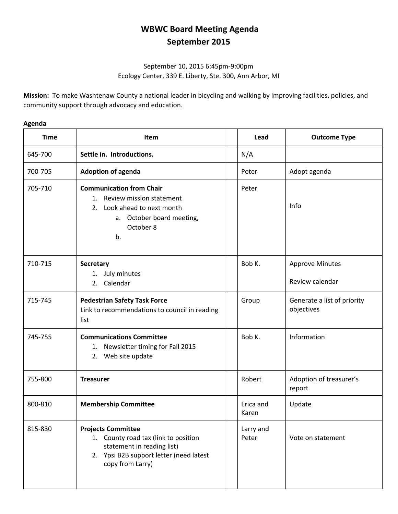# **WBWC Board Meeting Agenda September 2015**

## September 10, 2015 6:45pm-9:00pm Ecology Center, 339 E. Liberty, Ste. 300, Ann Arbor, MI

**Mission:** To make Washtenaw County a national leader in bicycling and walking by improving facilities, policies, and community support through advocacy and education.

### **Agenda**

| <b>Time</b> | Item                                                                                                                                                           | Lead               | <b>Outcome Type</b>                       |
|-------------|----------------------------------------------------------------------------------------------------------------------------------------------------------------|--------------------|-------------------------------------------|
| 645-700     | Settle in. Introductions.                                                                                                                                      | N/A                |                                           |
| 700-705     | <b>Adoption of agenda</b>                                                                                                                                      | Peter              | Adopt agenda                              |
| 705-710     | <b>Communication from Chair</b><br>1. Review mission statement<br>Look ahead to next month<br>2.<br>a. October board meeting,<br>October 8<br>b.               | Peter              | Info                                      |
| 710-715     | Secretary<br>1. July minutes<br>2. Calendar                                                                                                                    | Bob K.             | <b>Approve Minutes</b><br>Review calendar |
| 715-745     | <b>Pedestrian Safety Task Force</b><br>Link to recommendations to council in reading<br>list                                                                   | Group              | Generate a list of priority<br>objectives |
| 745-755     | <b>Communications Committee</b><br>1. Newsletter timing for Fall 2015<br>2. Web site update                                                                    | Bob K.             | Information                               |
| 755-800     | <b>Treasurer</b>                                                                                                                                               | Robert             | Adoption of treasurer's<br>report         |
| 800-810     | <b>Membership Committee</b>                                                                                                                                    | Erica and<br>Karen | Update                                    |
| 815-830     | <b>Projects Committee</b><br>1. County road tax (link to position<br>statement in reading list)<br>2. Ypsi B2B support letter (need latest<br>copy from Larry) | Larry and<br>Peter | Vote on statement                         |